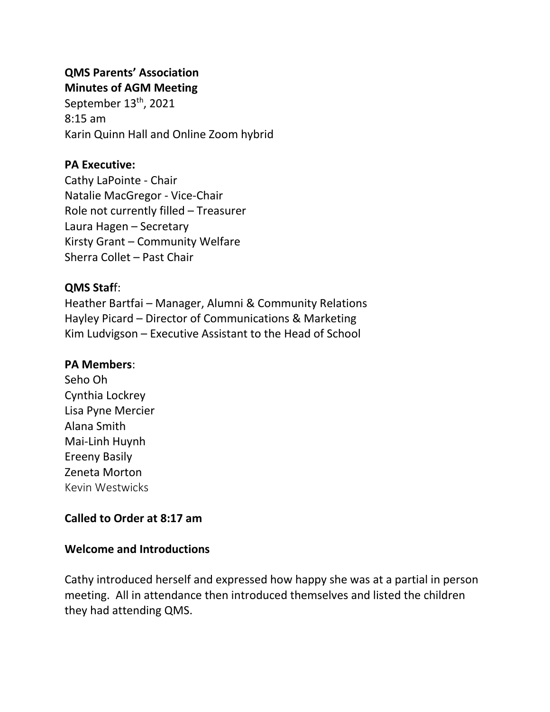## **QMS Parents' Association Minutes of AGM Meeting**

September 13<sup>th</sup>, 2021 8:15 am Karin Quinn Hall and Online Zoom hybrid

# **PA Executive:**

Cathy LaPointe - Chair Natalie MacGregor - Vice-Chair Role not currently filled – Treasurer Laura Hagen – Secretary Kirsty Grant – Community Welfare Sherra Collet – Past Chair

# **QMS Staf**f:

Heather Bartfai – Manager, Alumni & Community Relations Hayley Picard – Director of Communications & Marketing Kim Ludvigson – Executive Assistant to the Head of School

# **PA Members**:

Seho Oh Cynthia Lockrey Lisa Pyne Mercier Alana Smith Mai-Linh Huynh Ereeny Basily Zeneta Morton Kevin Westwicks

# **Called to Order at 8:17 am**

# **Welcome and Introductions**

Cathy introduced herself and expressed how happy she was at a partial in person meeting. All in attendance then introduced themselves and listed the children they had attending QMS.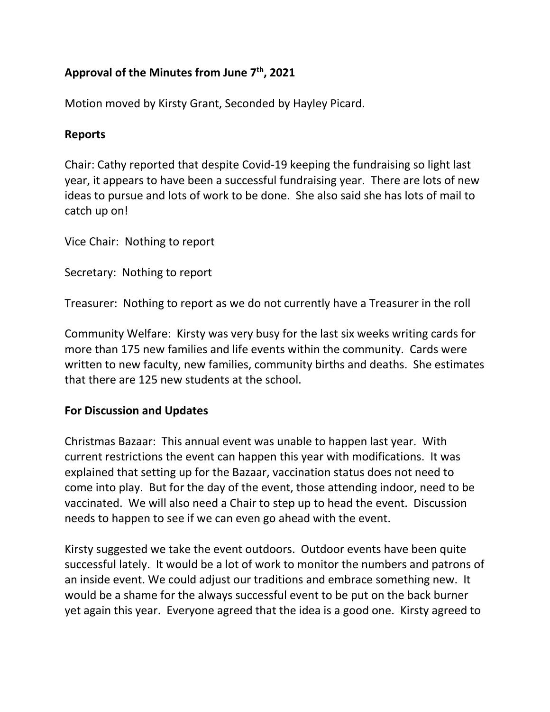# **Approval of the Minutes from June 7th, 2021**

Motion moved by Kirsty Grant, Seconded by Hayley Picard.

## **Reports**

Chair: Cathy reported that despite Covid-19 keeping the fundraising so light last year, it appears to have been a successful fundraising year. There are lots of new ideas to pursue and lots of work to be done. She also said she has lots of mail to catch up on!

Vice Chair: Nothing to report

Secretary: Nothing to report

Treasurer: Nothing to report as we do not currently have a Treasurer in the roll

Community Welfare: Kirsty was very busy for the last six weeks writing cards for more than 175 new families and life events within the community. Cards were written to new faculty, new families, community births and deaths. She estimates that there are 125 new students at the school.

### **For Discussion and Updates**

Christmas Bazaar:This annual event was unable to happen last year. With current restrictions the event can happen this year with modifications. It was explained that setting up for the Bazaar, vaccination status does not need to come into play. But for the day of the event, those attending indoor, need to be vaccinated. We will also need a Chair to step up to head the event. Discussion needs to happen to see if we can even go ahead with the event.

Kirsty suggested we take the event outdoors. Outdoor events have been quite successful lately. It would be a lot of work to monitor the numbers and patrons of an inside event. We could adjust our traditions and embrace something new. It would be a shame for the always successful event to be put on the back burner yet again this year. Everyone agreed that the idea is a good one. Kirsty agreed to